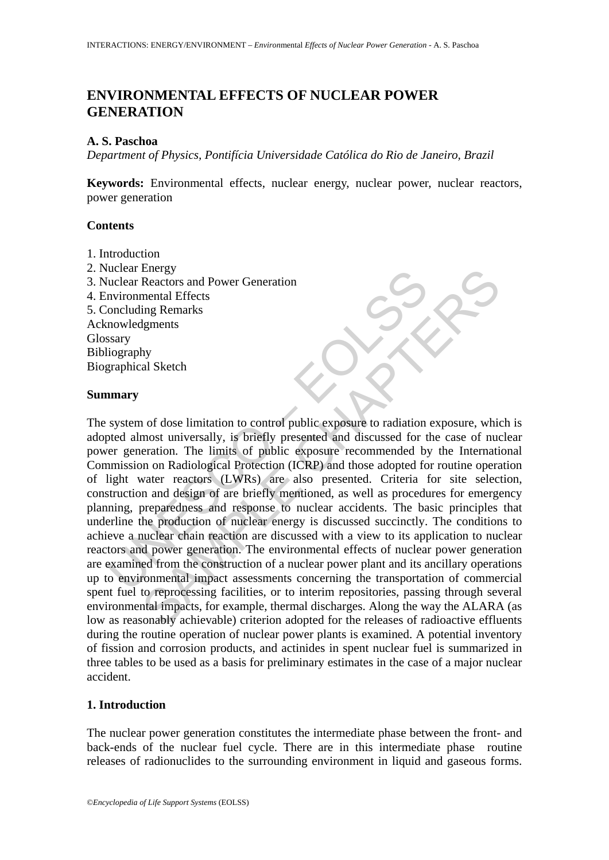## **ENVIRONMENTAL EFFECTS OF NUCLEAR POWER GENERATION**

### **A. S. Paschoa**

*Department of Physics, Pontifícia Universidade Católica do Rio de Janeiro, Brazil* 

**Keywords:** Environmental effects, nuclear energy, nuclear power, nuclear reactors, power generation

#### **Contents**

- 1. Introduction
- 2. Nuclear Energy
- 3. Nuclear Reactors and Power Generation
- 4. Environmental Effects
- 5. Concluding Remarks Acknowledgments

**Glossary** Bibliography Biographical Sketch

#### **Summary**

The mean energy<br>
included Electrons and Power Generation<br>
invironmental Effects<br>
(oncluding Remarks<br>
spary<br>
iography<br>
invironmental Effects<br>
spary<br>
invironmental Effects<br>
spary<br>
spary<br>
spary<br>
spary<br>
spared and inversally, Energy<br>
Reactors and Power Generation<br>
Reactors and Power Generation<br>
mental Effects<br>
ing Remarks<br>
Ignents<br>
Ignents<br>
Ignents<br>
Ignents<br>
Ignents<br>
Ignents<br>
Ignents<br>
Ignents<br>
Ignents<br>
Ignents<br>
Ignents<br>
Ignents<br>
Ignents<br>
aratio The system of dose limitation to control public exposure to radiation exposure, which is adopted almost universally, is briefly presented and discussed for the case of nuclear power generation. The limits of public exposure recommended by the International Commission on Radiological Protection (ICRP) and those adopted for routine operation of light water reactors (LWRs) are also presented. Criteria for site selection, construction and design of are briefly mentioned, as well as procedures for emergency planning, preparedness and response to nuclear accidents. The basic principles that underline the production of nuclear energy is discussed succinctly. The conditions to achieve a nuclear chain reaction are discussed with a view to its application to nuclear reactors and power generation. The environmental effects of nuclear power generation are examined from the construction of a nuclear power plant and its ancillary operations up to environmental impact assessments concerning the transportation of commercial spent fuel to reprocessing facilities, or to interim repositories, passing through several environmental impacts, for example, thermal discharges. Along the way the ALARA (as low as reasonably achievable) criterion adopted for the releases of radioactive effluents during the routine operation of nuclear power plants is examined. A potential inventory of fission and corrosion products, and actinides in spent nuclear fuel is summarized in three tables to be used as a basis for preliminary estimates in the case of a major nuclear accident.

#### **1. Introduction**

The nuclear power generation constitutes the intermediate phase between the front- and back-ends of the nuclear fuel cycle. There are in this intermediate phase routine releases of radionuclides to the surrounding environment in liquid and gaseous forms.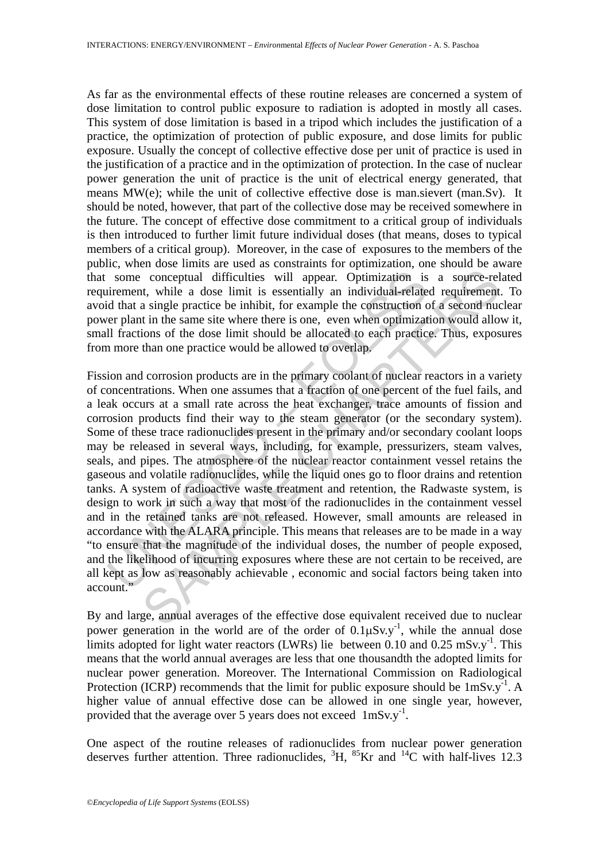As far as the environmental effects of these routine releases are concerned a system of dose limitation to control public exposure to radiation is adopted in mostly all cases. This system of dose limitation is based in a tripod which includes the justification of a practice, the optimization of protection of public exposure, and dose limits for public exposure. Usually the concept of collective effective dose per unit of practice is used in the justification of a practice and in the optimization of protection. In the case of nuclear power generation the unit of practice is the unit of electrical energy generated, that means MW(e); while the unit of collective effective dose is man.sievert (man.Sv). It should be noted, however, that part of the collective dose may be received somewhere in the future. The concept of effective dose commitment to a critical group of individuals is then introduced to further limit future individual doses (that means, doses to typical members of a critical group). Moreover, in the case of exposures to the members of the public, when dose limits are used as constraints for optimization, one should be aware that some conceptual difficulties will appear. Optimization is a source-related requirement, while a dose limit is essentially an individual-related requirement. To avoid that a single practice be inhibit, for example the construction of a second nuclear power plant in the same site where there is one, even when optimization would allow it, small fractions of the dose limit should be allocated to each practice. Thus, exposures from more than one practice would be allowed to overlap.

some conceptual difficulties will appear. Optimization is<br>uirement, while a dose limit is essentially an individual-relate<br>d that a single practice be inhibit, for example the construction or<br>er plant in the same site whe conceptual difficulties will appear. Optimization is a source-rel<br>t, while a dose limit is essentially an individual-related requirement<br>at single practice be inhibit, for example the construction of a second nuc<br>in it in Fission and corrosion products are in the primary coolant of nuclear reactors in a variety of concentrations. When one assumes that a fraction of one percent of the fuel fails, and a leak occurs at a small rate across the heat exchanger, trace amounts of fission and corrosion products find their way to the steam generator (or the secondary system). Some of these trace radionuclides present in the primary and/or secondary coolant loops may be released in several ways, including, for example, pressurizers, steam valves, seals, and pipes. The atmosphere of the nuclear reactor containment vessel retains the gaseous and volatile radionuclides, while the liquid ones go to floor drains and retention tanks. A system of radioactive waste treatment and retention, the Radwaste system, is design to work in such a way that most of the radionuclides in the containment vessel and in the retained tanks are not released. However, small amounts are released in accordance with the ALARA principle. This means that releases are to be made in a way "to ensure that the magnitude of the individual doses, the number of people exposed, and the likelihood of incurring exposures where these are not certain to be received, are all kept as low as reasonably achievable , economic and social factors being taken into account."

By and large, annual averages of the effective dose equivalent received due to nuclear power generation in the world are of the order of  $0.1 \mu Sv.y^{-1}$ , while the annual dose limits adopted for light water reactors (LWRs) lie between  $0.10$  and  $0.25$  mSv.y<sup>-1</sup>. This means that the world annual averages are less that one thousandth the adopted limits for nuclear power generation. Moreover. The International Commission on Radiological Protection (ICRP) recommends that the limit for public exposure should be  $1 \text{mSv.y}^{-1}$ . A higher value of annual effective dose can be allowed in one single year, however, provided that the average over 5 years does not exceed  $1 \text{mSv.y}^{-1}$ .

One aspect of the routine releases of radionuclides from nuclear power generation deserves further attention. Three radionuclides,  ${}^{3}H$ ,  ${}^{85}Kr$  and  ${}^{14}C$  with half-lives 12.3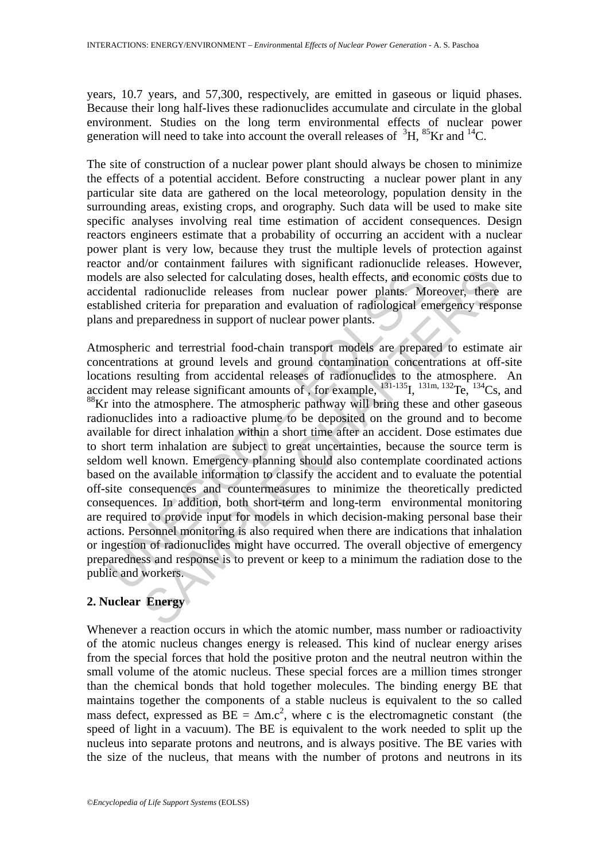years, 10.7 years, and 57,300, respectively, are emitted in gaseous or liquid phases. Because their long half-lives these radionuclides accumulate and circulate in the global environment. Studies on the long term environmental effects of nuclear power generation will need to take into account the overall releases of  ${}^{3}H, {}^{85}Kr$  and  ${}^{14}C$ .

The site of construction of a nuclear power plant should always be chosen to minimize the effects of a potential accident. Before constructing a nuclear power plant in any particular site data are gathered on the local meteorology, population density in the surrounding areas, existing crops, and orography. Such data will be used to make site specific analyses involving real time estimation of accident consequences. Design reactors engineers estimate that a probability of occurring an accident with a nuclear power plant is very low, because they trust the multiple levels of protection against reactor and/or containment failures with significant radionuclide releases. However, models are also selected for calculating doses, health effects, and economic costs due to accidental radionuclide releases from nuclear power plants. Moreover, there are established criteria for preparation and evaluation of radiological emergency response plans and preparedness in support of nuclear power plants.

lels are also selected for calculating doses, health effects, and eco<br>dental radionuclide releases from nuclear power plants. Me<br>blished criteria for preparation and evaluation of radiological er<br>s and preparedness in supp also selected for calculating doses, health effects, and economic costs du<br>also selected for calculating doses, health effects, and economic costs du<br>radionuclide releases from nuclear power plants. Moreover, there<br>criter Atmospheric and terrestrial food-chain transport models are prepared to estimate air concentrations at ground levels and ground contamination concentrations at off-site locations resulting from accidental releases of radionuclides to the atmosphere. An accident may release significant amounts of , for example,  $^{131-135}$ I,  $^{131m, 132}$ Te,  $^{134}$ Cs, and <sup>88</sup>Kr into the atmosphere. The atmospheric pathway will bring these and other gaseous radionuclides into a radioactive plume to be deposited on the ground and to become available for direct inhalation within a short time after an accident. Dose estimates due to short term inhalation are subject to great uncertainties, because the source term is seldom well known. Emergency planning should also contemplate coordinated actions based on the available information to classify the accident and to evaluate the potential off-site consequences and countermeasures to minimize the theoretically predicted consequences. In addition, both short-term and long-term environmental monitoring are required to provide input for models in which decision-making personal base their actions. Personnel monitoring is also required when there are indications that inhalation or ingestion of radionuclides might have occurred. The overall objective of emergency preparedness and response is to prevent or keep to a minimum the radiation dose to the public and workers.

### **2. Nuclear Energy**

Whenever a reaction occurs in which the atomic number, mass number or radioactivity of the atomic nucleus changes energy is released. This kind of nuclear energy arises from the special forces that hold the positive proton and the neutral neutron within the small volume of the atomic nucleus. These special forces are a million times stronger than the chemical bonds that hold together molecules. The binding energy BE that maintains together the components of a stable nucleus is equivalent to the so called mass defect, expressed as  $BE = \Delta m.c^2$ , where c is the electromagnetic constant (the speed of light in a vacuum). The BE is equivalent to the work needed to split up the nucleus into separate protons and neutrons, and is always positive. The BE varies with the size of the nucleus, that means with the number of protons and neutrons in its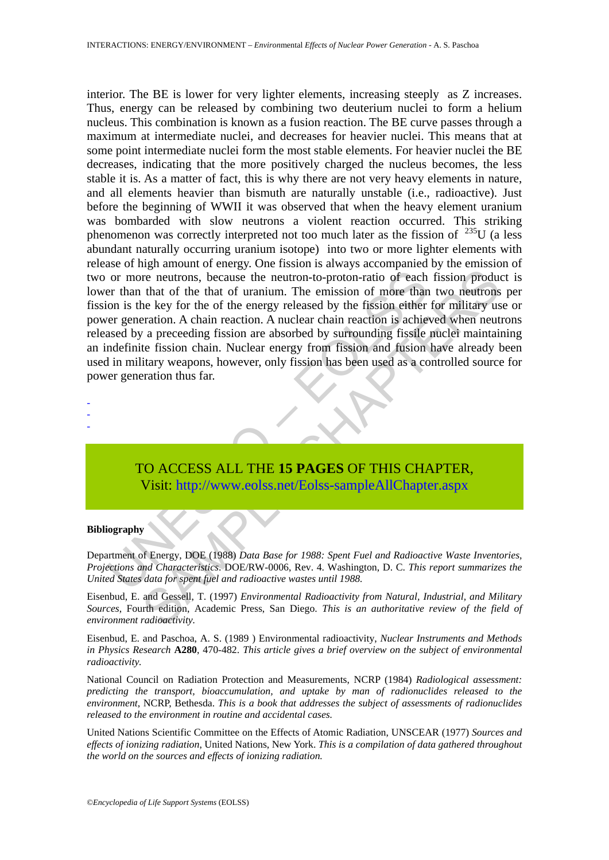or more neutrons, because the neutron-to-proton-ratio of each<br>er than that of the that of uranium. The emission of more than<br>on is the key for the of the energy released by the fission either<br>er generation. A chain reactio The neutrons, because the neutron-to-proton-ratio of each fission product<br>that of the that of uranium. The emission of more than two neutrons<br>the key for the of the energy released by the fission either for military use<br>pr interior. The BE is lower for very lighter elements, increasing steeply as Z increases. Thus, energy can be released by combining two deuterium nuclei to form a helium nucleus. This combination is known as a fusion reaction. The BE curve passes through a maximum at intermediate nuclei, and decreases for heavier nuclei. This means that at some point intermediate nuclei form the most stable elements. For heavier nuclei the BE decreases, indicating that the more positively charged the nucleus becomes, the less stable it is. As a matter of fact, this is why there are not very heavy elements in nature, and all elements heavier than bismuth are naturally unstable (i.e., radioactive). Just before the beginning of WWII it was observed that when the heavy element uranium was bombarded with slow neutrons a violent reaction occurred. This striking phenomenon was correctly interpreted not too much later as the fission of  $^{235}$ U (a less abundant naturally occurring uranium isotope) into two or more lighter elements with release of high amount of energy. One fission is always accompanied by the emission of two or more neutrons, because the neutron-to-proton-ratio of each fission product is lower than that of the that of uranium. The emission of more than two neutrons per fission is the key for the of the energy released by the fission either for military use or power generation. A chain reaction. A nuclear chain reaction is achieved when neutrons released by a preceeding fission are absorbed by surrounding fissile nuclei maintaining an indefinite fission chain. Nuclear energy from fission and fusion have already been used in military weapons, however, only fission has been used as a controlled source for power generation thus far.

- -

-

# TO ACCESS ALL THE **15 PAGES** OF THIS CHAPTER, Visit: http://www.eolss.net/Eolss-sampleAllChapter.aspx

#### **Bibliography**

Department of Energy, DOE (1988) *Data Base for 1988: Spent Fuel and Radioactive Waste Inventories, Projections and Characteristics*. DOE/RW-0006, Rev. 4. Washington, D. C. *This report summarizes the United States data for spent fuel and radioactive wastes until 1988.*

Eisenbud, E. and Gessell, T. (1997) *Environmental Radioactivity from Natural, Industrial, and Military Sources*, Fourth edition, Academic Press, San Diego. *This is an authoritative review of the field of environment radioactivity.* 

Eisenbud, E. and Paschoa, A. S. (1989 ) Environmental radioactivity, *Nuclear Instruments and Methods in Physics Research* **A280**, 470-482. *This article gives a brief overview on the subject of environmental radioactivity.* 

National Council on Radiation Protection and Measurements, NCRP (1984) *Radiological assessment: predicting the transport, bioaccumulation, and uptake by man of radionuclides released to the environment*, NCRP, Bethesda. *This is a book that addresses the subject of assessments of radionuclides released to the environment in routine and accidental cases.* 

United Nations Scientific Committee on the Effects of Atomic Radiation, UNSCEAR (1977) *Sources and effects of ionizing radiation*, United Nations, New York. *This is a compilation of data gathered throughout the world on the sources and effects of ionizing radiation.*